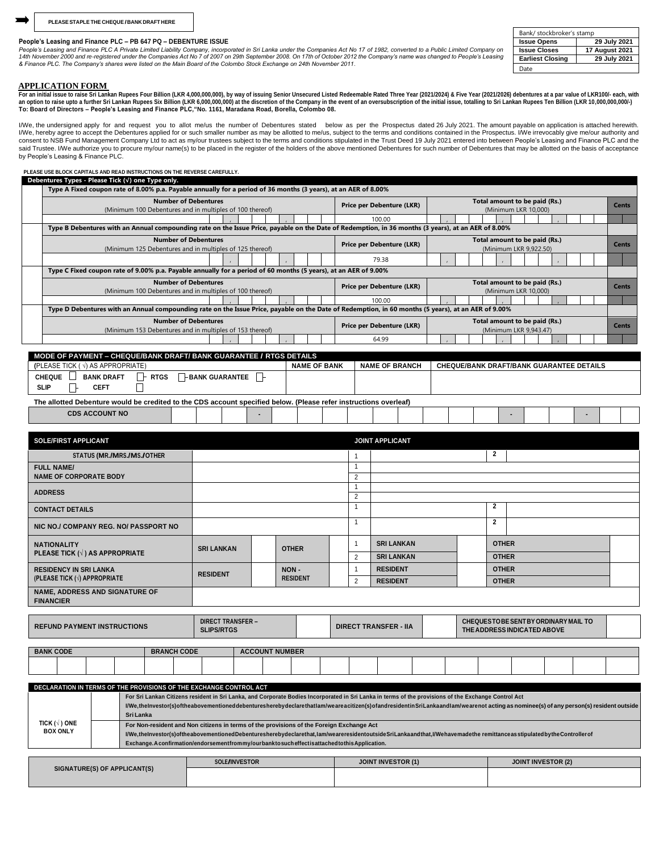## **People's Leasing and Finance PLC – PB 647 PQ – DEBENTURE ISSUE**

People's Leasing and Finance PLC A Private Limited Liability Company, incorporated in Sri Lanka under the Companies Act No 17 of 1982, converted to a Public Limited Company on<br>14th November 2000 and re-registered under the *& Finance PLC. The Company's shares were listed on the Main Board of the Colombo Stock Exchange on 24th November 2011.*

| Bank/ stockbroker's stamp |                       |  |  |  |  |  |  |
|---------------------------|-----------------------|--|--|--|--|--|--|
| <b>Issue Opens</b>        | 29 July 2021          |  |  |  |  |  |  |
| <b>Issue Closes</b>       | <b>17 August 2021</b> |  |  |  |  |  |  |
| <b>Earliest Closing</b>   | 29 July 2021          |  |  |  |  |  |  |
| Date                      |                       |  |  |  |  |  |  |

**APPLICATION FORM**<br>For an initial issue to raise Sri Lankan Rupees Four Billion (LKR 4,000,000,000), by way of issuing Senior Unsecured Listed Redeemable Rated Three Year (2021/2024) & Five Year (2021/2026) debentures at a **To: Board of Directors – People's Leasing and Finance PLC,"No. 1161, Maradana Road, Borella, Colombo 08.**

I/We, the undersigned apply for and request you to allot me/us the number of Debentures stated below as per the Prospectus dated 26 July 2021. The amount payable on application is attached herewith. I/We, hereby agree to accept the Debentures applied for or such smaller number as may be allotted to me/us, subject to the terms and conditions contained in the Prospectus. I/We irrevocably give me/our authority and<br>consen said Trustee. I/We authorize you to procure my/our name(s) to be placed in the register of the holders of the above mentioned Debentures for such number of Debentures that may be allotted on the basis of acceptance said Tr by People's Leasing & Finance PLC.

**PLEASE USE BLOCK CAPITALS AND READ INSTRUCTIONS ON THE REVERSE CAREFULLY. Debentures Types - Please Tick (√) one Type only.**

| Type A Fixed coupon rate of 8.00% p.a. Payable annually for a period of 36 months (3 years), at an AER of 8.00%                                                                 |                                                          |  |                           |                                                         |                                                       |  |  |              |              |  |  |              |  |  |
|---------------------------------------------------------------------------------------------------------------------------------------------------------------------------------|----------------------------------------------------------|--|---------------------------|---------------------------------------------------------|-------------------------------------------------------|--|--|--------------|--------------|--|--|--------------|--|--|
| <b>Number of Debentures</b>                                                                                                                                                     | (Minimum 100 Debentures and in multiples of 100 thereof) |  |                           | Price per Debenture (LKR)                               | Total amount to be paid (Rs.)<br>(Minimum LKR 10,000) |  |  |              |              |  |  | <b>Cents</b> |  |  |
|                                                                                                                                                                                 |                                                          |  |                           | 100.00                                                  |                                                       |  |  |              |              |  |  |              |  |  |
| Type B Debentures with an Annual compounding rate on the Issue Price, payable on the Date of Redemption, in 36 months (3 years), at an AER of 8.00%                             |                                                          |  |                           |                                                         |                                                       |  |  |              |              |  |  |              |  |  |
| <b>Number of Debentures</b><br>Total amount to be paid (Rs.)<br>Price per Debenture (LKR)<br>(Minimum 125 Debentures and in multiples of 125 thereof)<br>(Minimum LKR 9,922.50) |                                                          |  |                           |                                                         |                                                       |  |  | <b>Cents</b> |              |  |  |              |  |  |
| 79.38                                                                                                                                                                           |                                                          |  |                           |                                                         |                                                       |  |  |              |              |  |  |              |  |  |
| Type C Fixed coupon rate of 9.00% p.a. Payable annually for a period of 60 months (5 years), at an AER of 9.00%                                                                 |                                                          |  |                           |                                                         |                                                       |  |  |              |              |  |  |              |  |  |
| <b>Number of Debentures</b><br>(Minimum 100 Debentures and in multiples of 100 thereof)                                                                                         |                                                          |  |                           | Price per Debenture (LKR)                               | Total amount to be paid (Rs.)<br>(Minimum LKR 10.000) |  |  |              | <b>Cents</b> |  |  |              |  |  |
|                                                                                                                                                                                 |                                                          |  |                           | 100.00                                                  |                                                       |  |  |              |              |  |  |              |  |  |
| Type D Debentures with an Annual compounding rate on the Issue Price, payable on the Date of Redemption, in 60 months (5 years), at an AER of 9.00%                             |                                                          |  |                           |                                                         |                                                       |  |  |              |              |  |  |              |  |  |
| <b>Number of Debentures</b><br>(Minimum 153 Debentures and in multiples of 153 thereof)                                                                                         |                                                          |  | Price per Debenture (LKR) | Total amount to be paid (Rs.)<br>(Minimum LKR 9,943.47) |                                                       |  |  | <b>Cents</b> |              |  |  |              |  |  |
|                                                                                                                                                                                 |                                                          |  |                           | 64.99                                                   |                                                       |  |  |              |              |  |  |              |  |  |

| <u> WURL VE EN HENT – VIIEWVERAND PAND IZ PAND VOADANIEEZ IN VOIR PETAIEV</u>                                     |                        |                     |                       |                                                 |  |  |  |
|-------------------------------------------------------------------------------------------------------------------|------------------------|---------------------|-----------------------|-------------------------------------------------|--|--|--|
| (PLEASE TICK ( $\sqrt{ }$ ) AS APPROPRIATE)                                                                       |                        | <b>NAME OF BANK</b> | <b>NAME OF BRANCH</b> | <b>CHEQUE/BANK DRAFT/BANK GUARANTEE DETAILS</b> |  |  |  |
| <b>RTGS</b><br><b>CHEQUE</b><br><b>BANK DRAFT</b><br><b>SLIP</b><br><b>CEFT</b>                                   | <b>-BANK GUARANTEE</b> |                     |                       |                                                 |  |  |  |
| The allotted Debenture would be credited to the CDS account specified below. (Please refer instructions overleaf) |                        |                     |                       |                                                 |  |  |  |
| <b>CDS ACCOUNT NO</b>                                                                                             |                        |                     |                       |                                                 |  |  |  |

| SOLE/FIRST APPLICANT                                               | <b>JOINT APPLICANT</b>                                                                                                                                                                                                                                                                                                                                     |                          |  |                         |              |                              |                   |   |              |                                                                             |  |  |  |  |  |
|--------------------------------------------------------------------|------------------------------------------------------------------------------------------------------------------------------------------------------------------------------------------------------------------------------------------------------------------------------------------------------------------------------------------------------------|--------------------------|--|-------------------------|--------------|------------------------------|-------------------|---|--------------|-----------------------------------------------------------------------------|--|--|--|--|--|
| STATUS (MR./MRS./MS./OTHER                                         |                                                                                                                                                                                                                                                                                                                                                            |                          |  |                         |              |                              |                   |   |              | 2                                                                           |  |  |  |  |  |
| <b>FULL NAME/</b><br><b>NAME OF CORPORATE BODY</b>                 |                                                                                                                                                                                                                                                                                                                                                            |                          |  |                         |              | 2                            |                   |   |              |                                                                             |  |  |  |  |  |
| <b>ADDRESS</b>                                                     |                                                                                                                                                                                                                                                                                                                                                            |                          |  |                         |              | $\overline{2}$               |                   |   |              |                                                                             |  |  |  |  |  |
| <b>CONTACT DETAILS</b>                                             |                                                                                                                                                                                                                                                                                                                                                            |                          |  |                         |              |                              |                   | 2 |              |                                                                             |  |  |  |  |  |
| NIC NO./ COMPANY REG. NO/ PASSPORT NO                              |                                                                                                                                                                                                                                                                                                                                                            |                          |  |                         |              |                              |                   |   |              | $\overline{2}$                                                              |  |  |  |  |  |
| <b>NATIONALITY</b>                                                 | <b>SRI LANKAN</b>                                                                                                                                                                                                                                                                                                                                          |                          |  |                         | <b>OTHER</b> |                              | <b>SRI LANKAN</b> |   | <b>OTHER</b> |                                                                             |  |  |  |  |  |
| PLEASE TICK $(\sqrt{})$ AS APPROPRIATE                             |                                                                                                                                                                                                                                                                                                                                                            |                          |  |                         |              | 2                            | <b>SRI LANKAN</b> |   | <b>OTHER</b> |                                                                             |  |  |  |  |  |
| <b>RESIDENCY IN SRI LANKA</b>                                      | <b>RESIDENT</b>                                                                                                                                                                                                                                                                                                                                            |                          |  | NON-<br><b>RESIDENT</b> |              |                              | <b>RESIDENT</b>   |   | <b>OTHER</b> |                                                                             |  |  |  |  |  |
| (PLEASE TICK $(\sqrt{})$ ) APPROPRIATE                             |                                                                                                                                                                                                                                                                                                                                                            |                          |  |                         |              | 2                            | <b>RESIDENT</b>   |   |              | <b>OTHER</b>                                                                |  |  |  |  |  |
| NAME, ADDRESS AND SIGNATURE OF<br><b>FINANCIER</b>                 |                                                                                                                                                                                                                                                                                                                                                            |                          |  |                         |              |                              |                   |   |              |                                                                             |  |  |  |  |  |
|                                                                    |                                                                                                                                                                                                                                                                                                                                                            |                          |  |                         |              |                              |                   |   |              |                                                                             |  |  |  |  |  |
| <b>REFUND PAYMENT INSTRUCTIONS</b>                                 | <b>SLIPS/RTGS</b>                                                                                                                                                                                                                                                                                                                                          | <b>DIRECT TRANSFER -</b> |  |                         |              | <b>DIRECT TRANSFER - IIA</b> |                   |   |              | <b>CHEQUESTO BE SENT BY ORDINARY MAIL TO</b><br>THE ADDRESS INDICATED ABOVE |  |  |  |  |  |
|                                                                    |                                                                                                                                                                                                                                                                                                                                                            |                          |  |                         |              |                              |                   |   |              |                                                                             |  |  |  |  |  |
| <b>BANK CODE</b><br><b>BRANCH CODE</b>                             | <b>ACCOUNT NUMBER</b>                                                                                                                                                                                                                                                                                                                                      |                          |  |                         |              |                              |                   |   |              |                                                                             |  |  |  |  |  |
|                                                                    |                                                                                                                                                                                                                                                                                                                                                            |                          |  |                         |              |                              |                   |   |              |                                                                             |  |  |  |  |  |
|                                                                    |                                                                                                                                                                                                                                                                                                                                                            |                          |  |                         |              |                              |                   |   |              |                                                                             |  |  |  |  |  |
| DECLARATION IN TERMS OF THE PROVISIONS OF THE EXCHANGE CONTROL ACT |                                                                                                                                                                                                                                                                                                                                                            |                          |  |                         |              |                              |                   |   |              |                                                                             |  |  |  |  |  |
|                                                                    | For Sri Lankan Citizens resident in Sri Lanka, and Corporate Bodies Incorporated in Sri Lanka in terms of the provisions of the Exchange Control Act<br>I/We,thelnvestor(s)oftheabovementioned debentureshereby declare that lam/we are a citizen(s) of and resident in SriLanka and lam/we are not acting as nominee(s) of any person(s) resident outside |                          |  |                         |              |                              |                   |   |              |                                                                             |  |  |  |  |  |

|                         | Sri Lanka                                                                                                                                                          |  |  |  |  |  |  |  |  |
|-------------------------|--------------------------------------------------------------------------------------------------------------------------------------------------------------------|--|--|--|--|--|--|--|--|
| TICK $( \sqrt{ } )$ ONE | For Non-resident and Non citizens in terms of the provisions of the Foreign Exchange Act                                                                           |  |  |  |  |  |  |  |  |
| <b>BOX ONLY</b>         | I/We,theInvestor(s)oftheabovementionedDebenturesherebydeclarethat,Iam/weareresidentoutsideSriLankaandthat,I/Wehavemadethe remittanceas stipulatedbytheControllerof |  |  |  |  |  |  |  |  |
|                         | Exchange. A confirmation/endorsementfrom my/ourbankto such effect is attached to this Application.                                                                 |  |  |  |  |  |  |  |  |
|                         |                                                                                                                                                                    |  |  |  |  |  |  |  |  |
|                         |                                                                                                                                                                    |  |  |  |  |  |  |  |  |

| SIGNATURE(S) OF APPLICANT(S) | <b>SOLE/INVESTOR</b> | JOINT INVESTOR (1) | JOINT INVESTOR (2) |  |  |  |  |
|------------------------------|----------------------|--------------------|--------------------|--|--|--|--|
|                              |                      |                    |                    |  |  |  |  |
|                              |                      |                    |                    |  |  |  |  |